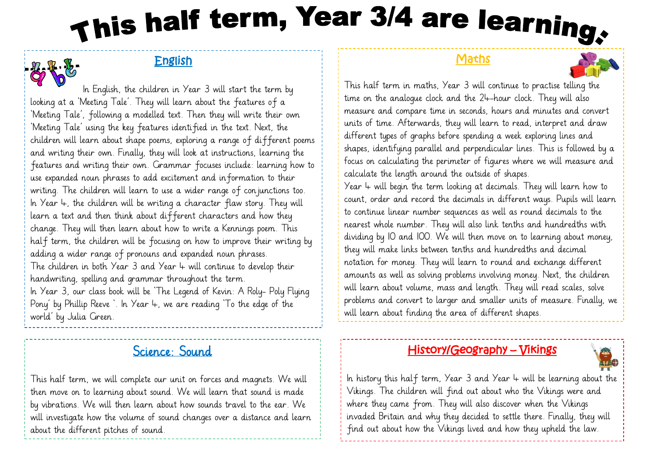# This half term, Year 3/4 are learning,

## English



 In English, the children in Year 3 will start the term by looking at a 'Meeting Tale'. They will learn about the features of a 'Meeting Tale', following a modelled text. Then they will write their own 'Meeting Tale' using the key features identified in the text. Next, the children will learn about shape poems, exploring a range of different poems and writing their own. Finally, they will look at instructions, learning the features and writing their own. Grammar focuses include: learning how to use expanded noun phrases to add excitement and information to their writing. The children will learn to use a wider range of conjunctions too. In Year  $4$ , the children will be writing a character flaw story. They will learn a text and then think about different characters and how they change. They will then learn about how to write a Kennings poem. This half term, the children will be focusing on how to improve their writing by adding a wider range of pronouns and expanded noun phrases. The children in both Year 3 and Year 4 will continue to develop their handwriting, spelling and grammar throughout the term. In Year 3, our class book will be 'The Legend of Kevin: A Roly- Poly Flying Pony' by Phillip Reeve '. In Year 4, we are reading 'To the edge of the

world' by Julia Green.

# Science: Sound

This half term, we will complete our unit on forces and magnets. We will then move on to learning about sound. We will learn that sound is made by vibrations. We will then learn about how sounds travel to the ear. We will investigate how the volume of sound changes over a distance and learn about the different pitches of sound.

## **Maths**



This half term in maths, Year 3 will continue to practise telling the time on the analogue clock and the 24-hour clock. They will also measure and compare time in seconds, hours and minutes and convert units of time. Afterwards, they will learn to read, interpret and draw different types of graphs before spending a week exploring lines and shapes, identifying parallel and perpendicular lines. This is followed by a focus on calculating the perimeter of figures where we will measure and calculate the length around the outside of shapes.

Year  $4$  will begin the term looking at decimals. They will learn how to count, order and record the decimals in different ways. Pupils will learn to continue linear number sequences as well as round decimals to the nearest whole number. They will also link tenths and hundredths with dividing by 10 and 100. We will then move on to learning about money, they will make links between tenths and hundredths and decimal notation for money. They will learn to round and exchange different amounts as well as solving problems involving money. Next, the children will learn about volume, mass and length. They will read scales, solve problems and convert to larger and smaller units of measure. Finally, we will learn about finding the area of different shapes.

## History/Geography – Vikings



In history this half term, Year 3 and Year  $4$  will be learning about the Vikings. The children will find out about who the Vikings were and where they came from. They will also discover when the Vikings invaded Britain and why they decided to settle there. Finally, they will find out about how the Vikings lived and how they upheld the law.

j